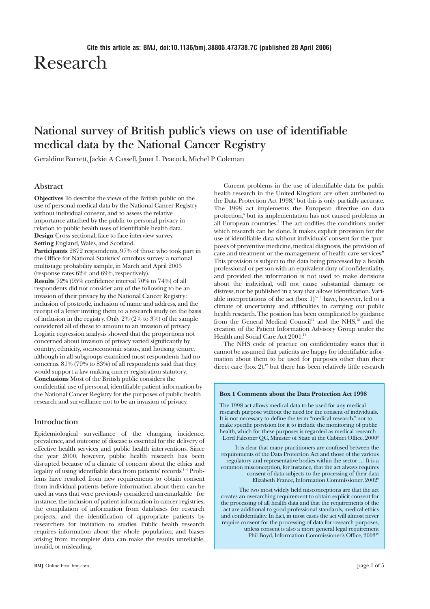# Research

# **National survey of British public's views on use of identifiable medical data by the National Cancer Registry**

Geraldine Barrett, Jackie A Cassell, Janet L Peacock, Michel P Coleman

# **Abstract**

**Objectives** To describe the views of the British public on the use of personal medical data by the National Cancer Registry without individual consent, and to assess the relative importance attached by the public to personal privacy in relation to public health uses of identifiable health data. **Design** Cross sectional, face to face interview survey. **Setting** England, Wales, and Scotland.

**Participants** 2872 respondents, 97% of those who took part in the Office for National Statistics' omnibus survey, a national multistage probability sample, in March and April 2005 (response rates 62% and 69%, respectively).

**Results** 72% (95% confidence interval 70% to 74%) of all respondents did not consider any of the following to be an invasion of their privacy by the National Cancer Registry: inclusion of postcode, inclusion of name and address, and the receipt of a letter inviting them to a research study on the basis of inclusion in the registry. Only 2% (2% to 3%) of the sample considered all of these to amount to an invasion of privacy. Logistic regression analysis showed that the proportions not concerned about invasion of privacy varied significantly by country, ethnicity, socioeconomic status, and housing tenure, although in all subgroups examined most respondents had no concerns. 81% (79% to 83%) of all respondents said that they would support a law making cancer registration statutory. **Conclusions** Most of the British public considers the confidential use of personal, identifiable patient information by the National Cancer Registry for the purposes of public health research and surveillance not to be an invasion of privacy.

# **Introduction**

Epidemiological surveillance of the changing incidence, prevalence, and outcome of disease is essential for the delivery of effective health services and public health interventions. Since the year 2000, however, public health research has been disrupted because of a climate of concern about the ethics and legality of using identifiable data from patients' records.<sup>1-4</sup> Problems have resulted from new requirements to obtain consent from individual patients before information about them can be used in ways that were previously considered unremarkable—for instance, the inclusion of patient information in cancer registries, the compilation of information from databases for research projects, and the identification of appropriate patients by researchers for invitation to studies. Public health research requires information about the whole population, and biases arising from incomplete data can make the results unreliable, invalid, or misleading.

Current problems in the use of identifiable data for public health research in the United Kingdom are often attributed to the Data Protection Act 1998,<sup>5</sup> but this is only partially accurate. The 1998 act implements the European directive on data protection,<sup>6</sup> but its implementation has not caused problems in all European countries.<sup>7</sup> The act codifies the conditions under which research can be done. It makes explicit provision for the use of identifiable data without individuals' consent for the "purposes of preventive medicine, medical diagnosis, the provision of care and treatment or the management of health-care services." This provision is subject to the data being processed by a health professional or person with an equivalent duty of confidentiality, and provided the information is not used to make decisions about the individual, will not cause substantial damage or distress, nor be published in a way that allows identification. Variable interpretations of the act (box  $1$ )<sup>8–10</sup> have, however, led to a climate of uncertainty and difficulties in carrying out public health research. The position has been complicated by guidance from the General Medical Council<sup>11</sup> and the NHS,<sup>12</sup> and the creation of the Patient Information Advisory Group under the Health and Social Care Act 2001.<sup>13</sup>

The NHS code of practice on confidentiality states that it cannot be assumed that patients are happy for identifiable information about them to be used for purposes other than their direct care (box  $2$ ),<sup>12</sup> but there has been relatively little research

#### **Box 1 Comments about the Data Protection Act 1998**

The 1998 act allows medical data to be used for any medical research purpose without the need for the consent of individuals. It is not necessary to define the term "medical research," nor to make specific provision for it to include the monitoring of public health, which for these purposes is regarded as medical research Lord Falconer QC, Minister of State at the Cabinet Office, 2000<sup>8</sup>

It is clear that many practitioners are confused between the requirements of the Data Protection Act and those of the various regulatory and representative bodies within the sector . . . It is a common misconception, for instance, that the act always requires consent of data subjects to the processing of their data Elizabeth France, Information Commissioner, 20029

The two most widely held misconceptions are that the act creates an overarching requirement to obtain explicit consent for the processing of all health data and that the requirements of the act are additional to good professional standards, medical ethics and confidentiality. In fact, in most cases the act will almost never require consent for the processing of data for research purposes, unless consent is also a more general legal requirement Phil Boyd, Information Commissioner's Office, 2003<sup>10</sup>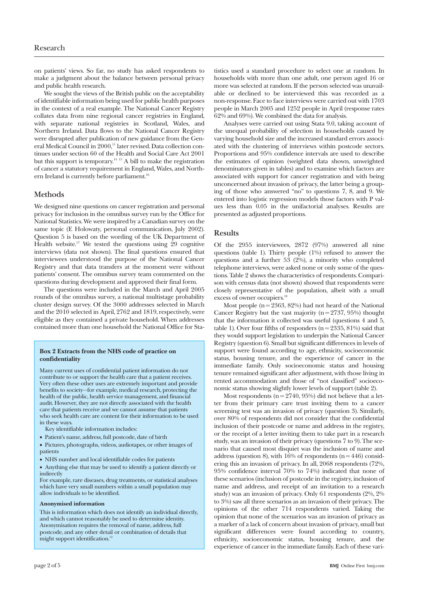on patients' views. So far, no study has asked respondents to make a judgment about the balance between personal privacy and public health research.

We sought the views of the British public on the acceptability of identifiable information being used for public health purposes in the context of a real example. The National Cancer Registry collates data from nine regional cancer registries in England, with separate national registries in Scotland, Wales, and Northern Ireland. Data flows to the National Cancer Registry were disrupted after publication of new guidance from the General Medical Council in 2000,<sup>11</sup> later revised. Data collection continues under section 60 of the Health and Social Care Act 2001 but this support is temporary.14 15 A bill to make the registration of cancer a statutory requirement in England, Wales, and Northern Ireland is currently before parliament.<sup>16</sup>

# **Methods**

We designed nine questions on cancer registration and personal privacy for inclusion in the omnibus survey run by the Office for National Statistics. We were inspired by a Canadian survey on the same topic (E Holowaty, personal communication, July 2002). Question 5 is based on the wording of the UK Department of Health website.<sup>17</sup> We tested the questions using  $29$  cognitive interviews (data not shown). The final questions ensured that interviewees understood the purpose of the National Cancer Registry and that data transfers at the moment were without patients' consent. The omnibus survey team commented on the questions during development and approved their final form.

The questions were included in the March and April 2005 rounds of the omnibus survey, a national multistage probability cluster design survey. Of the 3000 addresses selected in March and the 2010 selected in April, 2762 and 1819, respectively, were eligible as they contained a private household. When addresses contained more than one household the National Office for Sta-

#### **Box 2 Extracts from the NHS code of practice on confidentiality**

Many current uses of confidential patient information do not contribute to or support the health care that a patient receives. Very often these other uses are extremely important and provide benefits to society—for example, medical research, protecting the health of the public, health service management, and financial audit. However, they are not directly associated with the health care that patients receive and we cannot assume that patients who seek health care are content for their information to be used in these ways.

Key identifiable information includes:

- Patient's name, address, full postcode, date of birth
- Pictures, photographs, videos, audiotapes, or other images of patients
- NHS number and local identifiable codes for patients
- Anything else that may be used to identify a patient directly or indirectly

For example, rare diseases, drug treatments, or statistical analyses which have very small numbers within a small population may allow individuals to be identified.

#### **Anonymised information**

This is information which does not identify an individual directly, and which cannot reasonably be used to determine identity. Anonymisation requires the removal of name, address, full postcode, and any other detail or combination of details that might support identification.<sup>12</sup>

tistics used a standard procedure to select one at random. In households with more than one adult, one person aged 16 or more was selected at random. If the person selected was unavailable or declined to be interviewed this was recorded as a non-response. Face to face interviews were carried out with 1703 people in March 2005 and 1252 people in April (response rates 62% and 69%). We combined the data for analysis.

Analyses were carried out using Stata 9.0, taking account of the unequal probability of selection in households caused by varying household size and the increased standard errors associated with the clustering of interviews within postcode sectors. Proportions and 95% confidence intervals are used to describe the estimates of opinion (weighted data shown, unweighted denominators given in tables) and to examine which factors are associated with support for cancer registration and with being unconcerned about invasion of privacy, the latter being a grouping of those who answered "no" to questions 7, 8, and 9. We entered into logistic regression models those factors with P values less than 0.05 in the unifactorial analyses. Results are presented as adjusted proportions.

# **Results**

Of the 2955 interviewees, 2872 (97%) answered all nine questions (table 1). Thirty people (1%) refused to answer the questions and a further 53 (2%), a minority who completed telephone interviews, were asked none or only some of the questions. Table 2 shows the characteristics of respondents. Comparison with census data (not shown) showed that respondents were closely representative of the population, albeit with a small excess of owner occupiers.<sup>18</sup>

Most people ( $n = 2363, 82%$ ) had not heard of the National Cancer Registry but the vast majority ( $n = 2737, 95\%$ ) thought that the information it collected was useful (questions 4 and 5, table 1). Over four fifths of responders ( $n = 2335, 81\%$ ) said that they would support legislation to underpin the National Cancer Registry (question 6). Small but significant differences in levels of support were found according to age, ethnicity, socioeconomic status, housing tenure, and the experience of cancer in the immediate family. Only socioeconomic status and housing tenure remained significant after adjustment, with those living in rented accommodation and those of "not classified" socioeconomic status showing slightly lower levels of support (table 2).

Most respondents ( $n = 2740, 95\%$ ) did not believe that a letter from their primary care trust inviting them to a cancer screening test was an invasion of privacy (question 3). Similarly, over 80% of respondents did not consider that the confidential inclusion of their postcode or name and address in the registry, or the receipt of a letter inviting them to take part in a research study, was an invasion of their privacy (questions 7 to 9). The scenario that caused most disquiet was the inclusion of name and address (question 8), with  $16\%$  of respondents (n = 446) considering this an invasion of privacy. In all, 2068 respondents (72%, 95% confidence interval 70% to 74%) indicated that none of these scenarios (inclusion of postcode in the registry, inclusion of name and address, and receipt of an invitation to a research study) was an invasion of privacy. Only 61 respondents (2%, 2% to 3%) saw all three scenarios as an invasion of their privacy. The opinions of the other 714 respondents varied. Taking the opinion that none of the scenarios was an invasion of privacy as a marker of a lack of concern about invasion of privacy, small but significant differences were found according to country, ethnicity, socioeconomic status, housing tenure, and the experience of cancer in the immediate family. Each of these vari-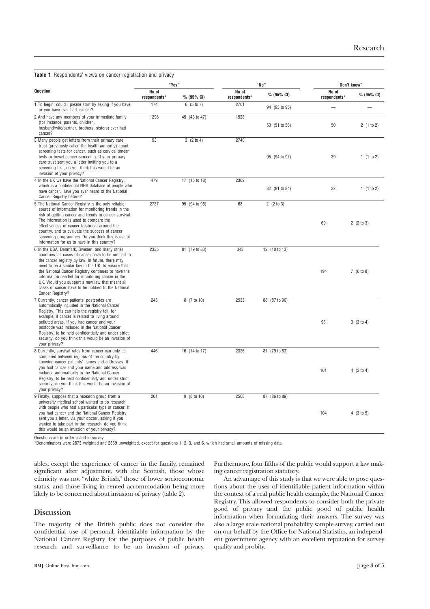|  | <b>Table 1</b> Respondents' views on cancer registration and privacy |  |  |  |  |
|--|----------------------------------------------------------------------|--|--|--|--|
|  |                                                                      |  |  |  |  |

|                                                                                                                                                                                                                                                                                                                                                                                                                                                        |                       | "Yes"         |                       | "No"          | "Don't know"          |            |  |
|--------------------------------------------------------------------------------------------------------------------------------------------------------------------------------------------------------------------------------------------------------------------------------------------------------------------------------------------------------------------------------------------------------------------------------------------------------|-----------------------|---------------|-----------------------|---------------|-----------------------|------------|--|
| <b>Question</b>                                                                                                                                                                                                                                                                                                                                                                                                                                        | No of<br>respondents* | % (95% CI)    | No of<br>respondents* | % (95% CI)    | No of<br>respondents* | % (95% CI) |  |
| 1 To begin, could I please start by asking if you have,<br>or you have ever had, cancer?                                                                                                                                                                                                                                                                                                                                                               | 174                   | 6 (5 to 7)    | 2701                  | 94 (93 to 95) |                       |            |  |
| 2 And have any members of your immediate family<br>(for instance, parents, children,<br>husband/wife/partner, brothers, sisters) ever had<br>cancer?                                                                                                                                                                                                                                                                                                   | 1298                  | 45 (43 to 47) | 1528                  | 53 (51 to 56) | 50                    | 2(1 to 2)  |  |
| 3 Many people get letters from their primary care<br>trust (previously called the health authority) about<br>screening tests for cancer, such as cervical smear<br>tests or bowel cancer screening. If your primary<br>care trust sent you a letter inviting you to a<br>screening test, do you think this would be an<br>invasion of your privacy?                                                                                                    | 93                    | 3(2 to 4)     | 2740                  | 95 (94 to 97) | 39                    | 1(1 to 2)  |  |
| 4 In the UK we have the National Cancer Registry,<br>which is a confidential NHS database of people who<br>have cancer. Have you ever heard of the National<br>Cancer Registry before?                                                                                                                                                                                                                                                                 | 479                   | 17 (15 to 18) | 2362                  | 82 (81 to 84) | 32                    | 1(1 to 2)  |  |
| 5 The National Cancer Registry is the only reliable<br>source of information for monitoring trends in the<br>risk of getting cancer and trends in cancer survival.<br>The information is used to compare the<br>effectiveness of cancer treatment around the<br>country, and to evaluate the success of cancer<br>screening programmes. Do you think this is useful<br>information for us to have in this country?                                     | 2737                  | 95 (94 to 96) | 68                    | 2(2 to 3)     | 69                    | 2(2 to 3)  |  |
| 6 In the USA, Denmark, Sweden, and many other<br>countries, all cases of cancer have to be notified to<br>the cancer registry by law. In future, there may<br>need to be a similar law in the UK, to ensure that<br>the National Cancer Registry continues to have the<br>information needed for monitoring cancer in the<br>UK. Would you support a new law that meant all<br>cases of cancer have to be notified to the National<br>Cancer Registry? | 2335                  | 81 (79 to 83) | 343                   | 12 (10 to 13) | 194                   | 7(6 to 8)  |  |
| 7 Currently, cancer patients' postcodes are<br>automatically included in the National Cancer<br>Registry. This can help the registry tell, for<br>example, if cancer is related to living around<br>polluted areas. If you had cancer and your<br>postcode was included in the National Cancer<br>Registry, to be held confidentially and under strict<br>security, do you think this would be an invasion of<br>your privacy?                         | 243                   | 8 (7 to 10)   | 2533                  | 88 (87 to 90) | 98                    | 3(3 to 4)  |  |
| 8 Currently, survival rates from cancer can only be<br>compared between regions of the country by<br>knowing cancer patients' names and addresses. If<br>vou had cancer and your name and address was<br>included automatically in the National Cancer<br>Registry, to be held confidentially and under strict<br>security, do you think this would be an invasion of<br>your privacy?                                                                 | 446                   | 16 (14 to 17) | 2326                  | 81 (79 to 83) | 101                   | 4(3 to 4)  |  |
| 9 Finally, suppose that a research group from a<br>university medical school wanted to do research<br>with people who had a particular type of cancer. If<br>you had cancer and the National Cancer Registry<br>sent you a letter, via your doctor, asking if you<br>wanted to take part in the research, do you think<br>this would be an invasion of your privacy?                                                                                   | 261                   | 9 (8 to 10)   | 2508                  | 87 (86 to 89) | 104                   | 4 (3 to 5) |  |

Questions are in order asked in survey. \*Denominators were 2873 weighted and 2869 unweighted, except for questions 1, 2, 3, and 6, which had small amounts of missing data.

ables, except the experience of cancer in the family, remained significant after adjustment, with the Scottish, those whose ethnicity was not "white British," those of lower socioeconomic status, and those living in rented accommodation being more likely to be concerned about invasion of privacy (table 2).

# **Discussion**

The majority of the British public does not consider the confidential use of personal, identifiable information by the National Cancer Registry for the purposes of public health research and surveillance to be an invasion of privacy. Furthermore, four fifths of the public would support a law making cancer registration statutory.

An advantage of this study is that we were able to pose questions about the uses of identifiable patient information within the context of a real public health example, the National Cancer Registry. This allowed respondents to consider both the private good of privacy and the public good of public health information when formulating their answers. The survey was also a large scale national probability sample survey, carried out on our behalf by the Office for National Statistics, an independent government agency with an excellent reputation for survey quality and probity.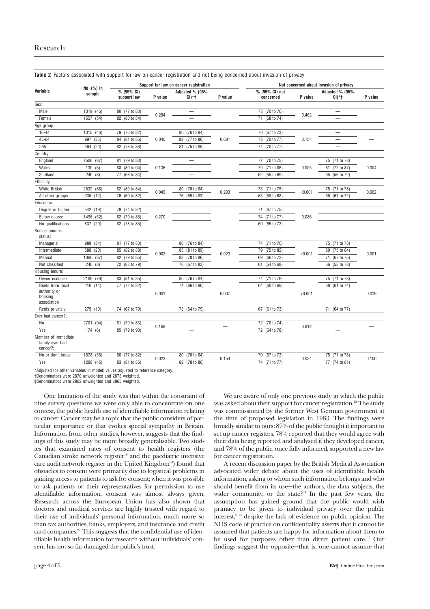|                                                    |                     | Support for law on cancer registration |         |                            |         | Not concerned about invasion of privacy |         |                            |         |
|----------------------------------------------------|---------------------|----------------------------------------|---------|----------------------------|---------|-----------------------------------------|---------|----------------------------|---------|
| Variable                                           | No (%) in<br>sample | % (95% CI)<br>support law              | P value | Adjusted % (95%<br>$CI)*+$ | P value | % (95% CI) not<br>concerned             | P value | Adjusted % (95%<br>$CI)*+$ | P value |
| Sex:                                               |                     |                                        |         |                            |         |                                         |         |                            |         |
| Male                                               | 1319 (46)           | 80 (77 to 83)                          |         |                            |         | 73 (70 to 76)                           | 0.462   |                            |         |
| Female                                             | 1557 (54)           | 82 (80 to 84)                          | 0.284   |                            |         | 71 (68 to 74)                           |         |                            |         |
| Age group:                                         |                     |                                        |         |                            |         |                                         |         |                            |         |
| 16-44                                              | 1315 (46)           | 79 (76 to 82)                          |         | 80 (76 to 84)              |         | 70 (67 to 73)                           |         | $\overline{\phantom{0}}$   |         |
| 45-64                                              | 997 (35)            | 84 (81 to 86)                          | 0.040   | 82 (77 to 86)              | 0.681   | 73 (70 to 77)                           | 0.154   |                            |         |
| $\geq 65$                                          | 564 (20)            | 82 (78 to 86)                          |         | 81 (75 to 85)              |         | 74 (70 to 77)                           |         |                            |         |
| Country:                                           |                     |                                        |         |                            |         |                                         |         |                            |         |
| England                                            | 2506 (87)           | 81 (79 to 83)                          |         |                            |         | 72 (70 to 75)                           |         | 75 (71 to 78)              |         |
| Wales                                              | 130(5)              | 88 (80 to 94)                          | 0.136   |                            |         | 79 (71 to 86)                           | 0.005   | 81 (72 to 87)              | 0.004   |
| Scotland                                           | 240(8)              | 77 (68 to 84)                          |         | -                          |         | 62 (55 to 69)                           |         | 65 (56 to 72)              |         |
| Ethnicity:                                         |                     |                                        |         |                            |         |                                         |         |                            |         |
| White British                                      | 2532 (88)           | 82 (80 to 84)                          |         | 80 (76 to 84)              |         | 73 (71 to 75)                           | < 0.001 | 75 (71 to 78)              | 0.002   |
| All other groups                                   | 335 (12)            | 76 (69 to 82)                          | 0.049   | 76 (69 to 83)              | 0.293   | 63 (58 to 68)                           |         | 66 (61 to 72)              |         |
| Education:                                         |                     |                                        |         |                            |         |                                         |         |                            |         |
| Degree or higher                                   | 542 (19)            | 79 (74 to 82)                          |         |                            |         | 71 (67 to 75)                           |         |                            |         |
| Below degree                                       | 1496 (52)           | 82 (79 to 85)                          | 0.270   |                            |         | 74 (71 to 77)                           | 0.086   |                            |         |
| No qualifications                                  | 837 (29)            | 82 (78 to 85)                          |         |                            |         | 69 (65 to 73)                           |         |                            |         |
| Socioeconomic<br>status:                           |                     |                                        |         |                            |         |                                         |         |                            |         |
| Managerial                                         | 988<br>(34)         | 81 (77 to 83)                          |         | (76 to 84)<br>80           |         | 74 (71 to 76)                           | < 0.001 | 75 (71 to 78)              | 0.001   |
| Intermediate                                       | 588<br>(20)         | (82 to 88)<br>85                       | 0.002   | (81 to 89)<br>85           |         | 79 (75 to 82)                           |         | 80 (75 to 84)              |         |
| Manual                                             | 1060 (37)           | 82 (79 to 85)                          |         | 83 (78 to 86)              | 0.023   | 69 (66 to 72)                           |         | 71 (67 to 75)              |         |
| Not classified                                     | 240 (8)             | 72 (63 to 79)                          |         | 76 (67 to 83)              |         | 61 (54 to 68)                           |         | 66 (58 to 73)              |         |
| Housing tenure:                                    |                     |                                        |         |                            |         |                                         |         |                            |         |
| Owner occupier                                     | 2189 (76)           | 83 (81 to 85)                          |         | $\frac{1}{80}$ (76 to 84)  |         | 74 (71 to 76)                           |         | 75 (71 to 78)              |         |
| Rents from local                                   | 410 (14)            | 77 (72 to 82)                          |         | 74 (66 to 80)              |         | 64 (60 to 69)                           |         | 68 (61 to 74)              |         |
| authority or<br>housing<br>association             |                     |                                        | 0.001   |                            | 0.007   |                                         | < 0.001 |                            | 0.019   |
| Rents privately                                    | 275 (10)            | 74 (67 to 79)                          |         | 73 (64 to 79)              |         | 67 (61 to 73)                           |         | 71 (64 to 77)              |         |
| Ever had cancer?:                                  |                     |                                        |         |                            |         |                                         |         |                            |         |
| No                                                 | 2701 (94)           | 81 (79 to 83)                          |         |                            |         | 72 (70 to 74)                           | 0.912   |                            |         |
| Yes                                                | 174(6)              | 85 (79 to 90)                          | 0.168   |                            |         | 72 (64 to 78)                           |         |                            |         |
| Member of immediate<br>family ever had<br>cancer?: |                     |                                        |         |                            |         |                                         |         |                            |         |
| No or don't know                                   | 1578 (55)           | 80 (77 to 82)                          |         | 80 (76 to 84)              |         | 70 (67 to 73)                           | 0.034   | 75 (71 to 78)              |         |
| Yes                                                | 1298 (45)           | 83 (81 to 85)                          | 0.023   | 82 (78 to 86)              | 0.154   | 74 (71 to 77)                           |         | 77 (74 to 81)              | 0.100   |

**Table 2** Factors associated with support for law on cancer registration and not being concerned about invasion of privacy

\*Adjusted for other variables in model; values adjusted to reference category.

†Denominators were 2870 unweighted and 2873 weighted.

‡Denominators were 2862 unweighted and 2865 weighted.

One limitation of the study was that within the constraint of nine survey questions we were only able to concentrate on one context, the public health use of identifiable information relating to cancer. Cancer may be a topic that the public considers of particular importance or that evokes special sympathy in Britain. Information from other studies, however, suggests that the findings of this study may be more broadly generalisable. Two studies that examined rates of consent to health registers (the Canadian stroke network register $19$  and the paediatric intensive care audit network register in the United Kingdom<sup>20</sup>) found that obstacles to consent were primarily due to logistical problems in gaining access to patients to ask for consent; when it was possible to ask patients or their representatives for permission to use identifiable information, consent was almost always given. Research across the European Union has also shown that doctors and medical services are highly trusted with regard to their use of individuals' personal information, much more so than tax authorities, banks, employers, and insurance and credit card companies.<sup>21</sup> This suggests that the confidential use of identifiable health information for research without individuals' consent has not so far damaged the public's trust.

We are aware of only one previous study in which the public was asked about their support for cancer registration.<sup>22</sup> The study was commissioned by the former West German government at the time of proposed legislation in 1983. The findings were broadly similar to ours: 87% of the public thought it important to set up cancer registers, 78% reported that they would agree with their data being reported and analysed if they developed cancer, and 78% of the public, once fully informed, supported a new law for cancer registration.

A recent discussion paper by the British Medical Association advocated wider debate about the uses of identifiable health information, asking to whom such information belongs and who should benefit from its use—the authors, the data subjects, the wider community, or the state?<sup>23</sup> In the past few years, the assumption has gained ground that the public would wish primacy to be given to individual privacy over the public interest,<sup>3 14</sup> despite the lack of evidence on public opinion. The NHS code of practice on confidentiality asserts that it cannot be assumed that patients are happy for information about them to be used for purposes other than direct patient care.<sup>12</sup> Our findings suggest the opposite—that is, one cannot assume that